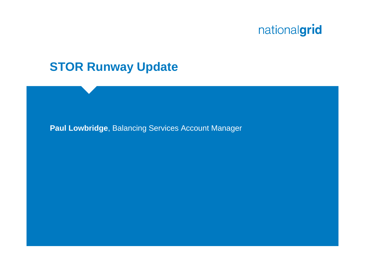#### **STOR Runway Update**

**Paul Lowbridge**, Balancing Services Account Manager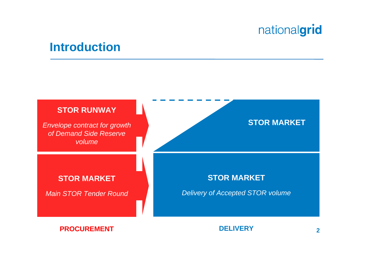#### **Introduction**

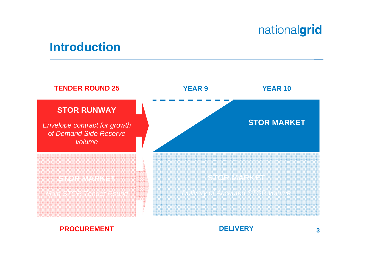#### **Introduction**



#### **PROCUREMENT**

#### **DELIVERY**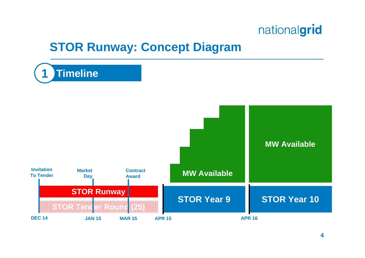### **STOR Runway: Concept Diagram**

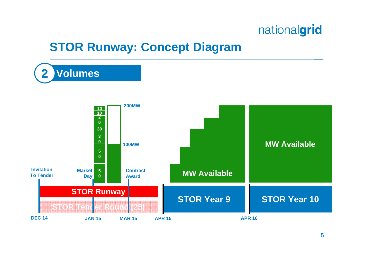### **STOR Runway: Concept Diagram**

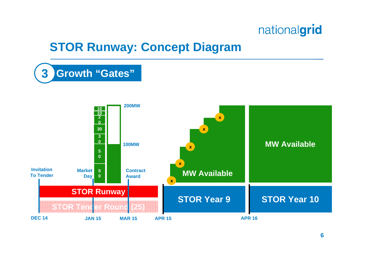### **STOR Runway: Concept Diagram**

**3**

**Growth "Gates"**

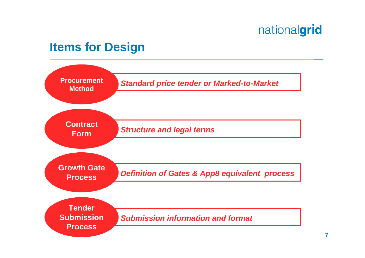#### **Items for Design**

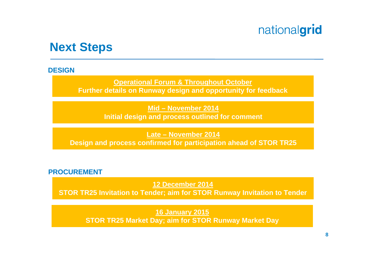#### **Next Steps**

#### **DESIGN**

**Operational Forum & Throughout October Further details on Runway design and opportunity for feedback**

> **Mid – November 2014 Initial design and process outlined for comment**

**Late – November 2014 Design and process confirmed for participation ahead of STOR TR25**

#### **PROCUREMENT**

**12 December 2014** 

**STOR TR25 Invitation to Tender; aim for STOR Runway Invitation to Tender**

**16 January 2015 STOR TR25 Market Day; aim for STOR Runway Market Day**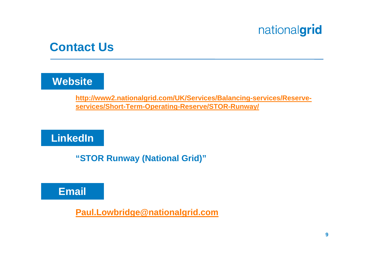#### **Contact Us**

#### **Website**

**http://www2.nationalgrid.com/UK/Services/Balancing-services/Reserveservices/Short-Term-Operating-Reserve/STOR-Runway/**

**LinkedIn**

**"STOR Runway (National Grid)"**



**Paul.Lowbridge@nationalgrid.com**